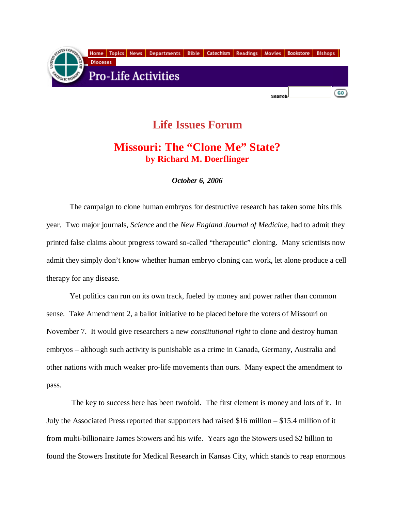

## **Life Issues Forum**

## **Missouri: The "Clone Me" State? by Richard M. Doerflinger**

*October 6, 2006* 

 The campaign to clone human embryos for destructive research has taken some hits this year. Two major journals, *Science* and the *New England Journal of Medicine*, had to admit they printed false claims about progress toward so-called "therapeutic" cloning. Many scientists now admit they simply don't know whether human embryo cloning can work, let alone produce a cell therapy for any disease.

 Yet politics can run on its own track, fueled by money and power rather than common sense. Take Amendment 2, a ballot initiative to be placed before the voters of Missouri on November 7. It would give researchers a new *constitutional right* to clone and destroy human embryos – although such activity is punishable as a crime in Canada, Germany, Australia and other nations with much weaker pro-life movements than ours. Many expect the amendment to pass.

 The key to success here has been twofold. The first element is money and lots of it. In July the Associated Press reported that supporters had raised \$16 million – \$15.4 million of it from multi-billionaire James Stowers and his wife. Years ago the Stowers used \$2 billion to found the Stowers Institute for Medical Research in Kansas City, which stands to reap enormous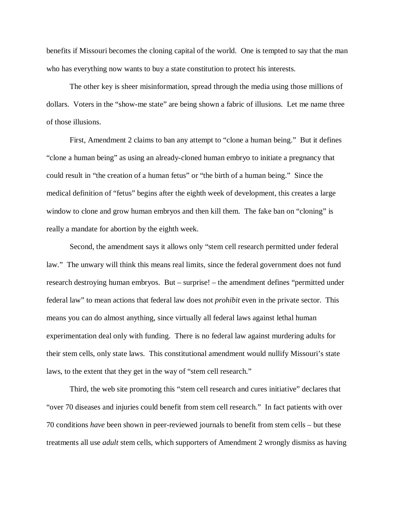benefits if Missouri becomes the cloning capital of the world. One is tempted to say that the man who has everything now wants to buy a state constitution to protect his interests.

 The other key is sheer misinformation, spread through the media using those millions of dollars. Voters in the "show-me state" are being shown a fabric of illusions. Let me name three of those illusions.

 First, Amendment 2 claims to ban any attempt to "clone a human being." But it defines "clone a human being" as using an already-cloned human embryo to initiate a pregnancy that could result in "the creation of a human fetus" or "the birth of a human being." Since the medical definition of "fetus" begins after the eighth week of development, this creates a large window to clone and grow human embryos and then kill them. The fake ban on "cloning" is really a mandate for abortion by the eighth week.

 Second, the amendment says it allows only "stem cell research permitted under federal law." The unwary will think this means real limits, since the federal government does not fund research destroying human embryos. But – surprise! – the amendment defines "permitted under federal law" to mean actions that federal law does not *prohibit* even in the private sector. This means you can do almost anything, since virtually all federal laws against lethal human experimentation deal only with funding. There is no federal law against murdering adults for their stem cells, only state laws. This constitutional amendment would nullify Missouri's state laws, to the extent that they get in the way of "stem cell research."

 Third, the web site promoting this "stem cell research and cures initiative" declares that "over 70 diseases and injuries could benefit from stem cell research." In fact patients with over 70 conditions *have* been shown in peer-reviewed journals to benefit from stem cells – but these treatments all use *adult* stem cells, which supporters of Amendment 2 wrongly dismiss as having